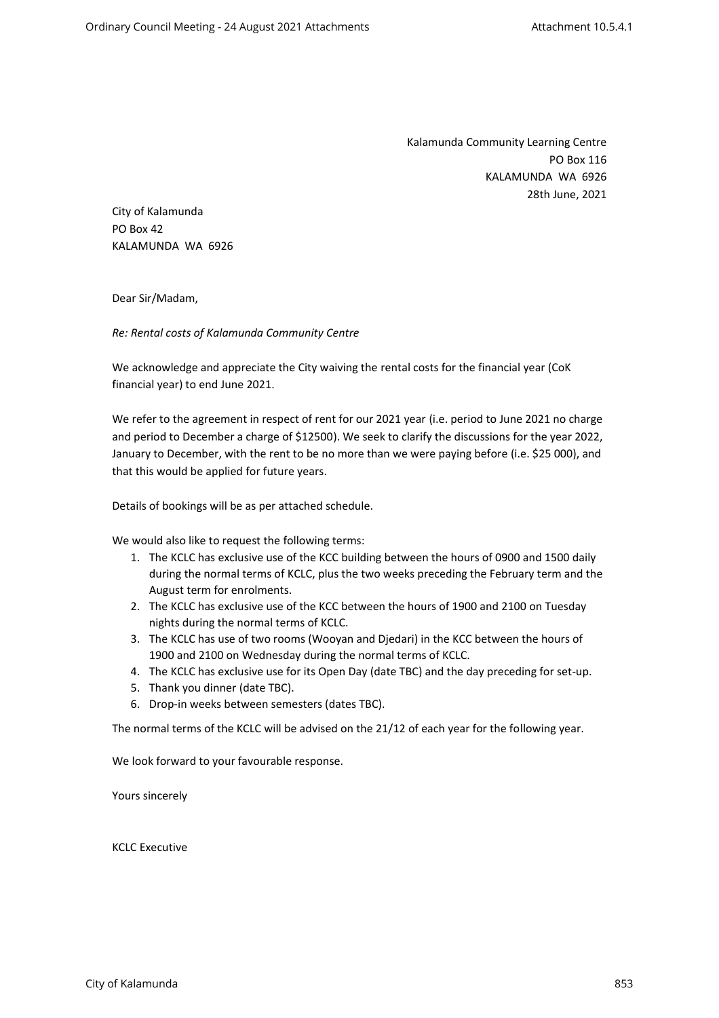Kalamunda Community Learning Centre PO Box 116 KALAMUNDA WA 6926 28th June, 2021

City of Kalamunda PO Box 42 KALAMUNDA WA 6926

Dear Sir/Madam,

*Re: Rental costs of Kalamunda Community Centre*

We acknowledge and appreciate the City waiving the rental costs for the financial year (CoK financial year) to end June 2021.

We refer to the agreement in respect of rent for our 2021 year (i.e. period to June 2021 no charge and period to December a charge of \$12500). We seek to clarify the discussions for the year 2022, January to December, with the rent to be no more than we were paying before (i.e. \$25 000), and that this would be applied for future years.

Details of bookings will be as per attached schedule.

We would also like to request the following terms:

- 1. The KCLC has exclusive use of the KCC building between the hours of 0900 and 1500 daily during the normal terms of KCLC, plus the two weeks preceding the February term and the August term for enrolments.
- 2. The KCLC has exclusive use of the KCC between the hours of 1900 and 2100 on Tuesday nights during the normal terms of KCLC.
- 3. The KCLC has use of two rooms (Wooyan and Djedari) in the KCC between the hours of 1900 and 2100 on Wednesday during the normal terms of KCLC.
- 4. The KCLC has exclusive use for its Open Day (date TBC) and the day preceding for set-up.
- 5. Thank you dinner (date TBC).
- 6. Drop-in weeks between semesters (dates TBC).

The normal terms of the KCLC will be advised on the 21/12 of each year for the following year.

We look forward to your favourable response.

Yours sincerely

KCLC Executive